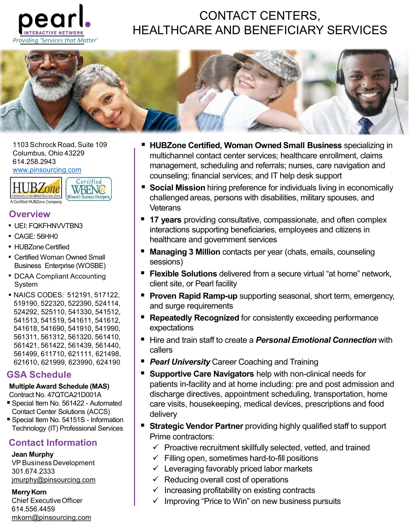

## CONTACT CENTERS, HEALTHCARE AND BENEFICIARY SERVICES



614.258.2943

www.pinsourcing.com



#### **Overview**

- **UEI: FOKFHNVVTBN3**
- CAGE: 56HH0
- 
- Certified Woman Owned Small
- 
- NAICS CODES: 512191, 517122, 519190, 522320, 522390, 524114, 524292, 525110, 541330, 541512, 541513, 541519, 541611, 541612, 541618, 541690, 541910, 541990, 561311, 561312, 561320, 561410, 561421, 561422, 561439, 561440, 561499, 611710, 621111, 621498, Excessions and Containing the sessions and the sessions of the sessions of the sessions of the sessions of the sessions of the sessions of the sessions of the sessions of the sessions of the sessions of the sessions of the • DCAA Compliant Accounting<br>
• Flexible Solutions delivered from client site, or Pearl facility<br>
• Flexible Solutions delivered from client site, or Pearl facility<br>
• Flexible Solutions delivered irror<br>
541519, 542320, System<br>
MACS CODES: 512191, 517122,<br>
524292, 525110, 541330, 524114,<br>
524292, 525110, 541330, 541512,<br>
541618, 541611, 541612,<br>
541618, 541611, 541612,<br>
541618, 541611, 541612,<br>
541618, 541611, 541612,<br>
561499, 611710, 62 NAICS CODES: 512191, 517122,<br>
SA105 22320, 522310, 524114, 51122,<br>
54292, 525110, 541330, 54114, 541612,<br>
541618, 541619, 541619, 541612,<br>
541618, 541610, 541990, 624190, 621414, 561422, 561439, 561490, 62111, 561422, 561

### GSA Schedule

#### Multiple Award Schedule (MAS)

- Contact Center Solutions (ACCS)<br>■ Special Item No. 54151S Information
- Technology (IT) Professional Services

301.674.2333

Merry Korn

Chief ExecutiveOfficer 614.556.4459 mkorn@pinsourcing.com

- multichannel contact center services; healthcare enrollment, claims management, scheduling and referrals; nurses, care navigation and counseling; financial services; and IT help desk support
- **Social Mission** hiring preference for individuals living in economically **Veterans**
- **17 years** providing consultative, compassionate, and often complex interactions supporting beneficiaries, employees and citizens in healthcare and government services
- **Managing 3 Million** contacts per year (chats, emails, counseling sessions)
- System in the client site, or Pearl facility and the System in the client site, or Pearl facility **Filexible Solutions** delivered from a secure virtual "at home" network,
	- **Proven Rapid Ramp-up** supporting seasonal, short term, emergency, and surge requirements
	- **Repeatedly Recognized** for consistently exceeding performance expectations
	- Hire and train staff to create a Personal Emotional Connection with callers
	- **Pearl University** Career Coaching and Training
- Supportive Care Navigators help with non-clinical needs for patients in-facility and at home including: pre and post admission and Contract No. 47QTCA21D001A (and all discharge directives, appointment scheduling, transportation, home care visits, housekeeping, medical devices, prescriptions and food delivery CAGE: 56HHO<br>
CAGE: 56HHO<br>
CHUBZone Certified<br>
Certified Woman Owned Small<br>
Shamear Ocean Scheptise (WOSBE)<br>
- DCAA Compliant Accounting<br>
Shamear Scheptise (WOSBE)<br>
- NAICS CODES: 512191, 517122,<br>
SHORE SCODES: 512191, 5171 • HUBZConcertitied Woman Owned Small<br>
• Managing 3 Million contacts per year (chats,<br>
Business Enterprise (WOSBE)<br>
• DCAA Compliant Accounting<br>
541618, Sessions)<br>
• The Web Solutions delivered from a secure vi<br>
541618, 54
	- **Strategic Vendor Partner** providing highly qualified staff to support Prime contractors:
		- $\checkmark$  Proactive recruitment skillfully selected, vetted, and trained
		- $\checkmark$  Filling open, sometimes hard-to-fill positions
		- $\checkmark$  Leveraging favorably priced labor markets
	- jmurphy@pinsourcing.com **being the set of the Cost of operations** overall cost of operations
		- $\checkmark$  Increasing profitability on existing contracts
		- $\checkmark$  Improving "Price to Win" on new business pursuits